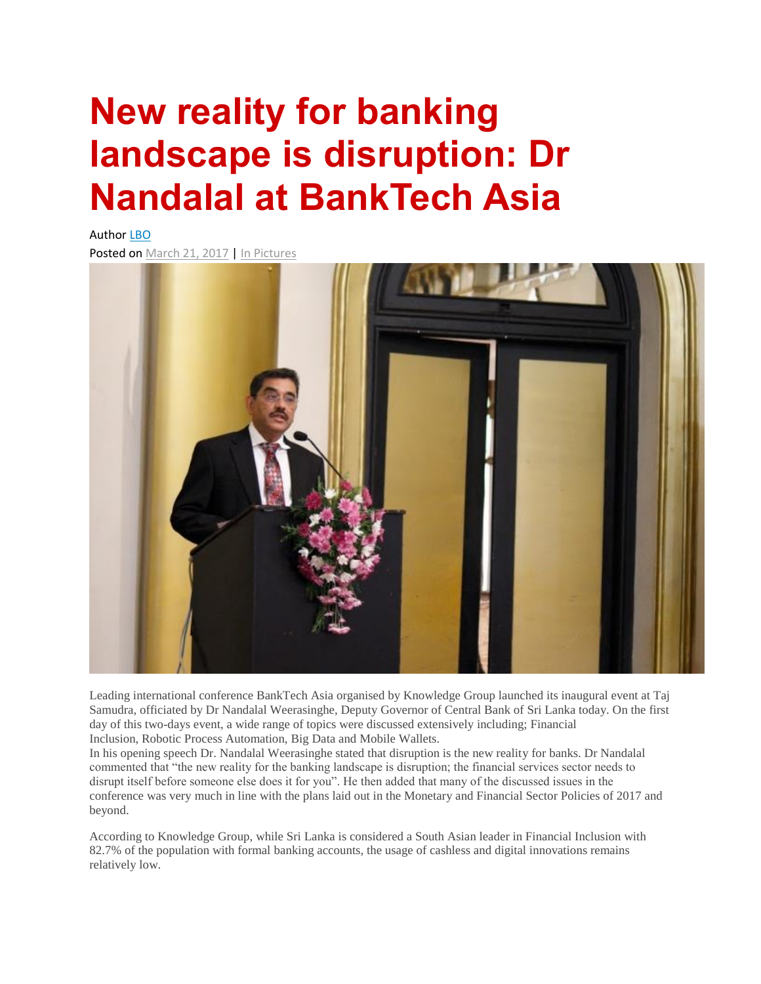## **New reality for banking landscape is disruption: Dr Nandalal at BankTech Asia**

Author [LBO](http://www.lankabusinessonline.com/author/editor/) Posted on [March](http://www.lankabusinessonline.com/new-reality-for-banking-landscape-is-disruption-dr-nandalal-at-banktech-asia/) 21, 2017 | In [Pictures](http://www.lankabusinessonline.com/category/other/in-pictures/)



Leading international conference BankTech Asia organised by Knowledge Group launched its inaugural event at Taj Samudra, officiated by Dr Nandalal Weerasinghe, Deputy Governor of Central Bank of Sri Lanka today. On the first day of this two-days event, a wide range of topics were discussed extensively including; Financial Inclusion, Robotic Process Automation, Big Data and Mobile Wallets.

In his opening speech Dr. Nandalal Weerasinghe stated that disruption is the new reality for banks. Dr Nandalal commented that "the new reality for the banking landscape is disruption; the financial services sector needs to disrupt itself before someone else does it for you". He then added that many of the discussed issues in the conference was very much in line with the plans laid out in the Monetary and Financial Sector Policies of 2017 and beyond.

According to Knowledge Group, while Sri Lanka is considered a South Asian leader in Financial Inclusion with 82.7% of the population with formal banking accounts, the usage of cashless and digital innovations remains relatively low.